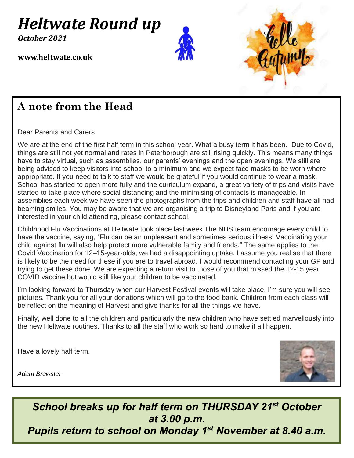# *Heltwate Round up*

*October 2021*

0 + **www.heltwate.co.uk**





#### **A note from the Head**

Dear Parents and Carers

We are at the end of the first half term in this school year. What a busy term it has been. Due to Covid, things are still not yet normal and rates in Peterborough are still rising quickly. This means many things have to stay virtual, such as assemblies, our parents' evenings and the open evenings. We still are being advised to keep visitors into school to a minimum and we expect face masks to be worn where appropriate. If you need to talk to staff we would be grateful if you would continue to wear a mask. School has started to open more fully and the curriculum expand, a great variety of trips and visits have started to take place where social distancing and the minimising of contacts is manageable. In assemblies each week we have seen the photographs from the trips and children and staff have all had beaming smiles. You may be aware that we are organising a trip to Disneyland Paris and if you are interested in your child attending, please contact school.

Childhood Flu Vaccinations at Heltwate took place last week The NHS team encourage every child to have the vaccine, saying, "Flu can be an unpleasant and sometimes serious illness. Vaccinating your child against flu will also help protect more vulnerable family and friends." The same applies to the Covid Vaccination for 12–15-year-olds, we had a disappointing uptake. I assume you realise that there is likely to be the need for these if you are to travel abroad. I would recommend contacting your GP and trying to get these done. We are expecting a return visit to those of you that missed the 12-15 year COVID vaccine but would still like your children to be vaccinated.

I'm looking forward to Thursday when our Harvest Festival events will take place. I'm sure you will see pictures. Thank you for all your donations which will go to the food bank. Children from each class will be reflect on the meaning of Harvest and give thanks for all the things we have.

Finally, well done to all the children and particularly the new children who have settled marvellously into the new Heltwate routines. Thanks to all the staff who work so hard to make it all happen.

Have a lovely half term.



*Adam Brewster*

*School breaks up for half term on THURSDAY 21st October at 3.00 p.m.* **Pupils return to school on Monday 1<sup>st</sup> November at 8.40 a.m.**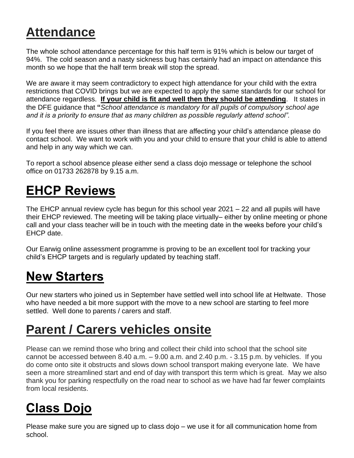# **Attendance**

The whole school attendance percentage for this half term is 91% which is below our target of 94%. The cold season and a nasty sickness bug has certainly had an impact on attendance this month so we hope that the half term break will stop the spread.

We are aware it may seem contradictory to expect high attendance for your child with the extra restrictions that COVID brings but we are expected to apply the same standards for our school for attendance regardless. **If your child is fit and well then they should be attending**. It states in the DFE guidance that **"***School attendance is mandatory for all pupils of compulsory school age and it is a priority to ensure that as many children as possible regularly attend school".*

If you feel there are issues other than illness that are affecting your child's attendance please do contact school. We want to work with you and your child to ensure that your child is able to attend and help in any way which we can.

To report a school absence please either send a class dojo message or telephone the school office on 01733 262878 by 9.15 a.m.

# **EHCP Reviews**

The EHCP annual review cycle has begun for this school year 2021 – 22 and all pupils will have their EHCP reviewed. The meeting will be taking place virtually– either by online meeting or phone call and your class teacher will be in touch with the meeting date in the weeks before your child's EHCP date.

Our Earwig online assessment programme is proving to be an excellent tool for tracking your child's EHCP targets and is regularly updated by teaching staff.

# **New Starters**

Our new starters who joined us in September have settled well into school life at Heltwate. Those who have needed a bit more support with the move to a new school are starting to feel more settled. Well done to parents / carers and staff.

#### **Parent / Carers vehicles onsite**

Please can we remind those who bring and collect their child into school that the school site cannot be accessed between  $8.40$  a.m.  $-9.00$  a.m. and  $2.40$  p.m.  $-3.15$  p.m. by vehicles. If you do come onto site it obstructs and slows down school transport making everyone late. We have seen a more streamlined start and end of day with transport this term which is great. May we also thank you for parking respectfully on the road near to school as we have had far fewer complaints from local residents.

# **Class Dojo**

Please make sure you are signed up to class dojo – we use it for all communication home from school.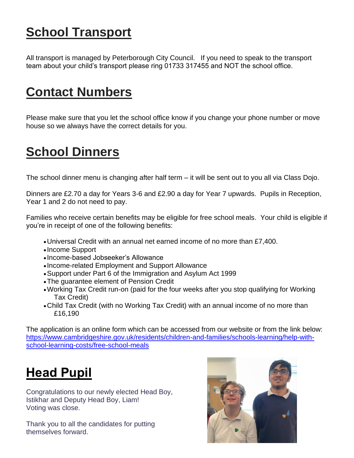# **School Transport**

All transport is managed by Peterborough City Council. If you need to speak to the transport team about your child's transport please ring 01733 317455 and NOT the school office.

### **Contact Numbers**

Please make sure that you let the school office know if you change your phone number or move house so we always have the correct details for you.

# **School Dinners**

The school dinner menu is changing after half term – it will be sent out to you all via Class Dojo.

Dinners are £2.70 a day for Years 3-6 and £2.90 a day for Year 7 upwards. Pupils in Reception, Year 1 and 2 do not need to pay.

Families who receive certain benefits may be eligible for free school meals. Your child is eligible if you're in receipt of one of the following benefits:

- •Universal Credit with an annual net earned income of no more than £7,400.
- Income Support
- Income-based Jobseeker's Allowance
- Income-related Employment and Support Allowance
- •Support under Part 6 of the Immigration and Asylum Act 1999
- •The guarantee element of Pension Credit
- •Working Tax Credit run-on (paid for the four weeks after you stop qualifying for Working Tax Credit)
- •Child Tax Credit (with no Working Tax Credit) with an annual income of no more than £16,190

The application is an online form which can be accessed from our website or from the link below: [https://www.cambridgeshire.gov.uk/residents/children-and-families/schools-learning/help-with](https://www.cambridgeshire.gov.uk/residents/children-and-families/schools-learning/help-with-school-learning-costs/free-school-meals)[school-learning-costs/free-school-meals](https://www.cambridgeshire.gov.uk/residents/children-and-families/schools-learning/help-with-school-learning-costs/free-school-meals)

# **Head Pupil**

Congratulations to our newly elected Head Boy, Istikhar and Deputy Head Boy, Liam! Voting was close.

Thank you to all the candidates for putting themselves forward.